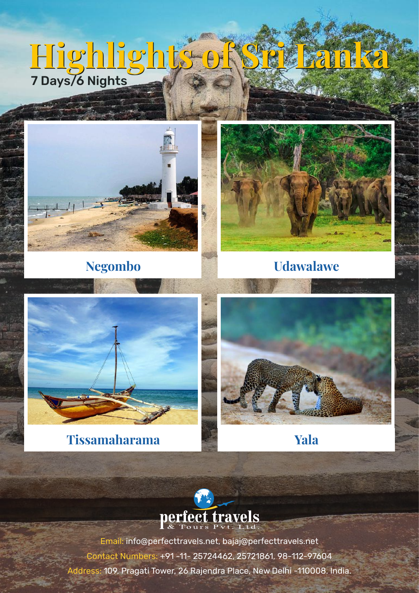# **Highlights of Sri Lanka Highlights of Sri Lanka** 7 Days/6 Nights





## **Negombo Udawalawe**



## **Tissamaharama Yala**



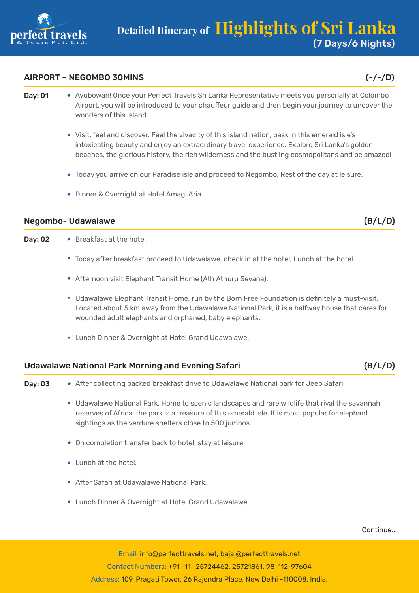

#### AIRPORT – NEGOMBO 30MINS (-/-/D)

- Day: 01 Ayubowan! Once your Perfect Travels Sri Lanka Representative meets you personally at Colombo Airport. you will be introduced to your chauffeur guide and then begin your journey to uncover the wonders of this island.
	- Visit, feel and discover. Feel the vivacity of this island nation, bask in this emerald isle's intoxicating beauty and enjoy an extraordinary travel experience. Explore Sri Lanka's golden beaches, the glorious history, the rich wilderness and the bustling cosmopolitans and be amazed!
	- Today you arrive on our Paradise isle and proceed to Negombo, Rest of the day at leisure.
	- Dinner & Overnight at Hotel Amagi Aria.

#### Negombo- Udawalawe (B/L/D)

**Day: 02**  $\rightarrow$  Breakfast at the hotel. Today after breakfast proceed to Udawalawe, check in at the hotel, Lunch at the hotel. Afternoon visit Elephant Transit Home (Ath Athuru Sevana). Udawalawe Elephant Transit Home, run by the Born Free Foundation is definitely a must-visit. Located about 5 km away from the Udawalawe National Park, it is a halfway house that cares for wounded adult elephants and orphaned, baby elephants. Lunch Dinner & Overnight at Hotel Grand Udawalawe.

#### Udawalawe National Park Morning and Evening Safari (B/L/D)

- Day: 03 After collecting packed breakfast drive to Udawalawe National park for Jeep Safari. Udawalawe National Park, Home to scenic landscapes and rare wildlife that rival the savannah reserves of Africa, the park is a treasure of this emerald isle. It is most popular for elephant sightings as the verdure shelters close to 500 jumbos. On completion transfer back to hotel, stay at leisure.  $\cdot$  Lunch at the hotel.
	- After Safari at Udawalawe National Park.
	- Lunch Dinner & Overnight at Hotel Grand Udawalawe.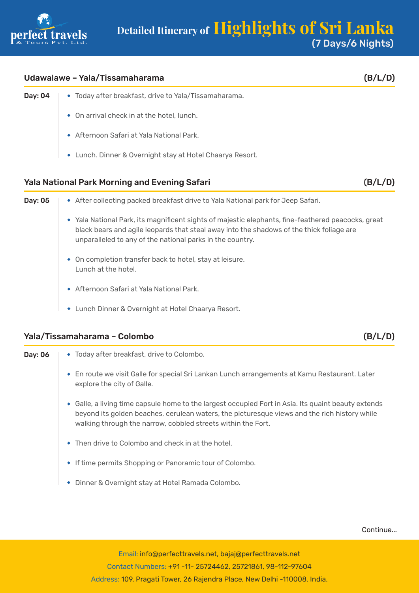

#### Udawalawe – Yala/Tissamaharama (B/L/D)

- Day: 04  $\rightarrow$  Today after breakfast, drive to Yala/Tissamaharama.
	- On arrival check in at the hotel, lunch.
	- Afternoon Safari at Yala National Park.
	- Lunch. Dinner & Overnight stay at Hotel Chaarya Resort.

#### Yala National Park Morning and Evening Safari (B/L/D)

| Day: 05 | • After collecting packed breakfast drive to Yala National park for Jeep Safari.                                                                                                                                                                            |
|---------|-------------------------------------------------------------------------------------------------------------------------------------------------------------------------------------------------------------------------------------------------------------|
|         | • Yala National Park, its magnificent sights of majestic elephants, fine-feathered peacocks, great<br>black bears and agile leopards that steal away into the shadows of the thick foliage are<br>unparalleled to any of the national parks in the country. |
|         | • On completion transfer back to hotel, stay at leisure.<br>Lunch at the hotel.                                                                                                                                                                             |
|         | Afternoon Safari at Yala National Park.                                                                                                                                                                                                                     |
|         | Lunch Dinner & Overnight at Hotel Chaarya Resort.                                                                                                                                                                                                           |

#### Yala/Tissamaharama – Colombo (B/L/D)

| Day: 06 | • Today after breakfast, drive to Colombo.                                                                                                                                                                                                                          |
|---------|---------------------------------------------------------------------------------------------------------------------------------------------------------------------------------------------------------------------------------------------------------------------|
|         | En route we visit Galle for special Sri Lankan Lunch arrangements at Kamu Restaurant. Later<br>explore the city of Galle.                                                                                                                                           |
|         | • Galle, a living time capsule home to the largest occupied Fort in Asia. Its quaint beauty extends<br>beyond its golden beaches, cerulean waters, the picturesque views and the rich history while<br>walking through the narrow, cobbled streets within the Fort. |
|         | $\bullet$ Then drive to Colombo and check in at the hotel.                                                                                                                                                                                                          |
|         | • If time permits Shopping or Panoramic tour of Colombo.                                                                                                                                                                                                            |
|         | Dinner & Overnight stay at Hotel Ramada Colombo.<br>۰                                                                                                                                                                                                               |

Continue...